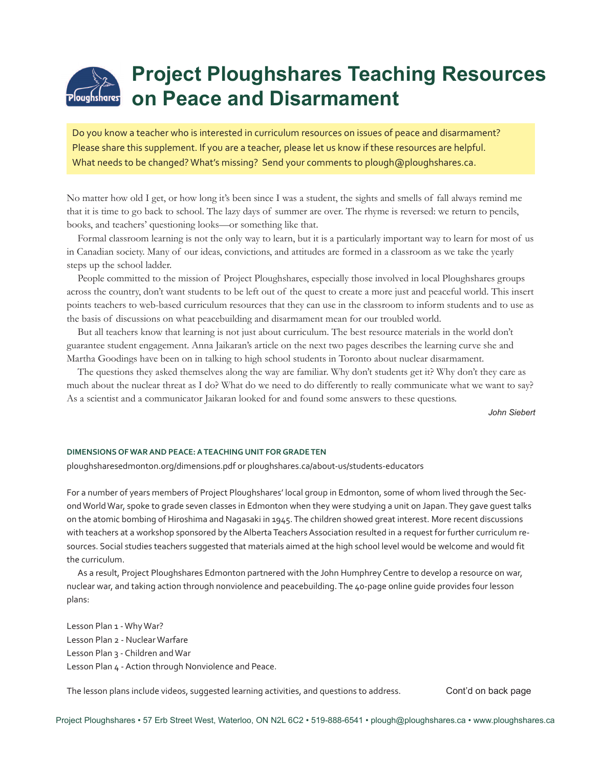# **Project Ploughshares Teaching Resources on Peace and Disarmament**

Do you know a teacher who is interested in curriculum resources on issues of peace and disarmament? Please share this supplement. If you are a teacher, please let us know if these resources are helpful. What needs to be changed? What's missing? Send your comments to plough@ploughshares.ca.

No matter how old I get, or how long it's been since I was a student, the sights and smells of fall always remind me that it is time to go back to school. The lazy days of summer are over. The rhyme is reversed: we return to pencils, books, and teachers' questioning looks—or something like that.

Formal classroom learning is not the only way to learn, but it is a particularly important way to learn for most of us in Canadian society. Many of our ideas, convictions, and attitudes are formed in a classroom as we take the yearly steps up the school ladder.

People committed to the mission of Project Ploughshares, especially those involved in local Ploughshares groups across the country, don't want students to be left out of the quest to create a more just and peaceful world. This insert points teachers to web-based curriculum resources that they can use in the classroom to inform students and to use as the basis of discussions on what peacebuilding and disarmament mean for our troubled world.

But all teachers know that learning is not just about curriculum. The best resource materials in the world don't guarantee student engagement. Anna Jaikaran's article on the next two pages describes the learning curve she and Martha Goodings have been on in talking to high school students in Toronto about nuclear disarmament.

The questions they asked themselves along the way are familiar. Why don't students get it? Why don't they care as much about the nuclear threat as I do? What do we need to do differently to really communicate what we want to say? As a scientist and a communicator Jaikaran looked for and found some answers to these questions.

*John Siebert*

#### **DIMENSIONS OF WARAND PEACE:ATEACHING UNIT FORGRADETEN**

ploughsharesedmonton.org/dimensions.pdf or ploughshares.ca/about-us/students-educators

For a number of years members of Project Ploughshares' local group in Edmonton, some of whom lived through the SecondWorldWar, spoke to grade seven classes in Edmonton when they were studying a unit on Japan.They gave guest talks on the atomic bombing of Hiroshima and Nagasaki in 1945. The children showed great interest. More recent discussions with teachers at a workshop sponsored by the Alberta Teachers Association resulted in a request for further curriculum resources. Social studies teachers suggested that materials aimed at the high school level would be welcome and would fit the curriculum.

As a result, Project Ploughshares Edmonton partnered with the John Humphrey Centre to develop a resource on war, nuclear war, and taking action through nonviolence and peacebuilding.The 40-page online guide provides four lesson plans:

Lesson Plan 1 - Why War? Lesson Plan 2 - Nuclear Warfare Lesson Plan 3 - Children and War Lesson Plan 4 - Action through Nonviolence and Peace.

The lesson plans include videos, suggested learning activities, and questions to address.

Cont'd on back page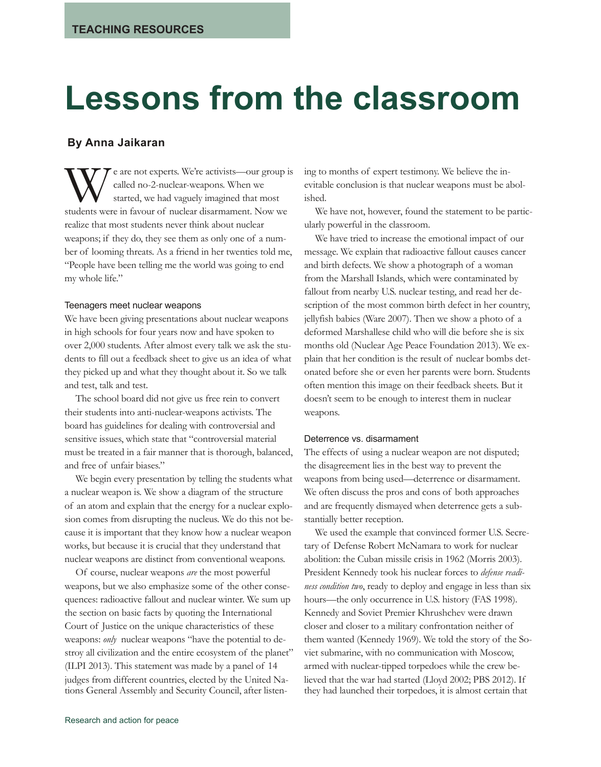# **Lessons from the classroom**

### **By Anna Jaikaran**

We're activists—our group is<br>called no-2-nuclear-weapons. When we<br>started, we had vaguely imagined that most<br>students were in favour of nuclear disarmament. Now we called no-2-nuclear-weapons. When we started, we had vaguely imagined that most realize that most students never think about nuclear weapons; if they do, they see them as only one of a number of looming threats. As a friend in her twenties told me, "People have been telling me the world was going to end my whole life."

#### Teenagers meet nuclear weapons

We have been giving presentations about nuclear weapons in high schools for four years now and have spoken to over 2,000 students. After almost every talk we ask the students to fill out a feedback sheet to give us an idea of what they picked up and what they thought about it. So we talk and test, talk and test.

The school board did not give us free rein to convert their students into anti-nuclear-weapons activists. The board has guidelines for dealing with controversial and sensitive issues, which state that "controversial material must be treated in a fair manner that is thorough, balanced, and free of unfair biases."

We begin every presentation by telling the students what a nuclear weapon is. We show a diagram of the structure of an atom and explain that the energy for a nuclear explosion comes from disrupting the nucleus. We do this not because it is important that they know how a nuclear weapon works, but because it is crucial that they understand that nuclear weapons are distinct from conventional weapons.

Of course, nuclear weapons *are* the most powerful weapons, but we also emphasize some of the other consequences: radioactive fallout and nuclear winter. We sum up the section on basic facts by quoting the International Court of Justice on the unique characteristics of these weapons: *only* nuclear weapons "have the potential to destroy all civilization and the entire ecosystem of the planet" (ILPI 2013). This statement was made by a panel of 14 judges from different countries, elected by the United Nations General Assembly and Security Council, after listening to months of expert testimony. We believe the inevitable conclusion is that nuclear weapons must be abolished.

We have not, however, found the statement to be particularly powerful in the classroom.

We have tried to increase the emotional impact of our message. We explain that radioactive fallout causes cancer and birth defects. We show a photograph of a woman from the Marshall Islands, which were contaminated by fallout from nearby U.S. nuclear testing, and read her description of the most common birth defect in her country, jellyfish babies (Ware 2007). Then we show a photo of a deformed Marshallese child who will die before she is six months old (Nuclear Age Peace Foundation 2013). We explain that her condition is the result of nuclear bombs detonated before she or even her parents were born. Students often mention this image on their feedback sheets. But it doesn't seem to be enough to interest them in nuclear weapons.

#### Deterrence vs. disarmament

The effects of using a nuclear weapon are not disputed; the disagreement lies in the best way to prevent the weapons from being used—deterrence or disarmament. We often discuss the pros and cons of both approaches and are frequently dismayed when deterrence gets a substantially better reception.

We used the example that convinced former U.S. Secretary of Defense Robert McNamara to work for nuclear abolition: the Cuban missile crisis in 1962 (Morris 2003). President Kennedy took his nuclear forces to *defense readiness condition two*, ready to deploy and engage in less than six hours—the only occurrence in U.S. history (FAS 1998). Kennedy and Soviet Premier Khrushchev were drawn closer and closer to a military confrontation neither of them wanted (Kennedy 1969). We told the story of the Soviet submarine, with no communication with Moscow, armed with nuclear-tipped torpedoes while the crew believed that the war had started (Lloyd 2002; PBS 2012). If they had launched their torpedoes, it is almost certain that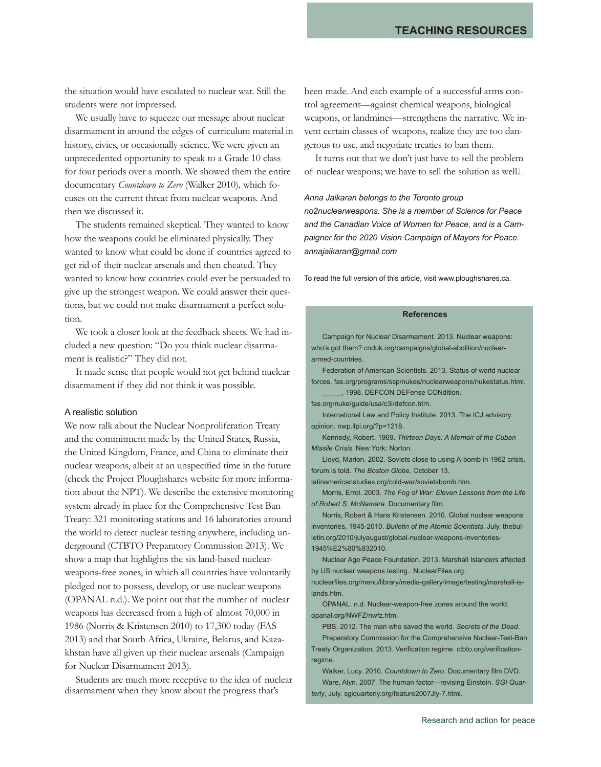the situation would have escalated to nuclear war. Still the students were not impressed.

We usually have to squeeze our message about nuclear disarmament in around the edges of curriculum material in history, civics, or occasionally science. We were given an unprecedented opportunity to speak to a Grade 10 class for four periods over a month. We showed them the entire documentary *Countdown to Zero* (Walker 2010)*,* which focuses on the current threat from nuclear weapons. And then we discussed it.

The students remained skeptical. They wanted to know how the weapons could be eliminated physically. They wanted to know what could be done if countries agreed to get rid of their nuclear arsenals and then cheated. They wanted to know how countries could ever be persuaded to give up the strongest weapon. We could answer their questions, but we could not make disarmament a perfect solution.

We took a closer look at the feedback sheets. We had included a new question: "Do you think nuclear disarmament is realistic?" They did not.

It made sense that people would not get behind nuclear disarmament if they did not think it was possible.

#### A realistic solution

We now talk about the Nuclear Nonproliferation Treaty and the commitment made by the United States, Russia, the United Kingdom, France, and China to eliminate their nuclear weapons, albeit at an unspecified time in the future (check the Project Ploughshares website for more information about the NPT). We describe the extensive monitoring system already in place for the Comprehensive Test Ban Treaty: 321 monitoring stations and 16 laboratories around the world to detect nuclear testing anywhere, including underground (CTBTO Preparatory Commission 2013). We show a map that highlights the six land-based nuclearweapons-free zones, in which all countries have voluntarily pledged not to possess, develop, or use nuclear weapons (OPANAL n.d.). We point out that the number of nuclear weapons has decreased from a high of almost 70,000 in 1986 (Norris & Kristensen 2010) to 17,300 today (FAS 2013) and that South Africa, Ukraine, Belarus, and Kazakhstan have all given up their nuclear arsenals (Campaign for Nuclear Disarmament 2013).

Students are much more receptive to the idea of nuclear disarmament when they know about the progress that's

been made. And each example of a successful arms control agreement—against chemical weapons, biological weapons, or landmines—strengthens the narrative. We invent certain classes of weapons, realize they are too dangerous to use, and negotiate treaties to ban them.

It turns out that we don't just have to sell the problem of nuclear weapons; we have to sell the solution as well.

## *Anna Jaikaran belongs to the Toronto group no2nuclearweapons. She is a member of Science for Peace and the Canadian Voice of Women for Peace, and is a Cam-*

To read the full version of this article, visit www.ploughshares.ca.

*paigner for the 2020 Vision Campaign of Mayors for Peace.*

#### **References**

Campaign for Nuclear Disarmament. 2013. Nuclear weapons: who's got them? cnduk.org/campaigns/global-abolition/nucleararmed-countries.

Federation of American Scientists. 2013. Status of world nuclear forces. fas.org/programs/ssp/nukes/nuclearweapons/nukestatus.html.

\_\_\_\_\_, 1998. DEFCON DEFense CONdition.

fas.org/nuke/guide/usa/c3i/defcon.htm.

*annajaikaran@gmail.com*

International Law and Policy Institute. 2013. The ICJ advisory opinion. nwp.ilpi.org/?p=1218.

Kennedy, Robert. 1969. *Thirteen Days: A Memoir of the Cuban Missile Crisis*. New York: Norton.

Lloyd, Marion. 2002. Soviets close to using A-bomb in 1962 crisis, forum is told. *The Boston Globe*, October 13.

latinamericanstudies.org/cold-war/sovietsbomb.htm.

Morris, Errol. 2003. *The Fog of War: Eleven Lessons from the Life of Robert S. McNamara*. Documentary film.

Norris, Robert & Hans Kristensen. 2010. Global nuclear weapons inventories, 1945-2010. *Bulletin of the Atomic Scientists*, July. thebulletin.org/2010/julyaugust/global-nuclear-weapons-inventories-1945%E2%80%932010.

Nuclear Age Peace Foundation. 2013. Marshall Islanders affected by US nuclear weapons testing.. NuclearFiles.org.

nuclearfiles.org/menu/library/media-gallery/image/testing/marshall-islands htm.

OPANAL. n.d. Nuclear-weapon-free zones around the world. opanal.org/NWFZ/nwfz.htm.

PBS. 2012. The man who saved the world. *Secrets of the Dead*. Preparatory Commission for the Comprehensive Nuclear-Test-Ban Treaty Organization. 2013. Verification regime. ctbto.org/verificationregime.

Walker, Lucy. 2010. *Countdown to Zero*. Documentary film DVD. Ware, Alyn. 2007. The human factor—revising Einstein. *SGI Quarterly*, July. sgiquarterly.org/feature2007Jly-7.html.